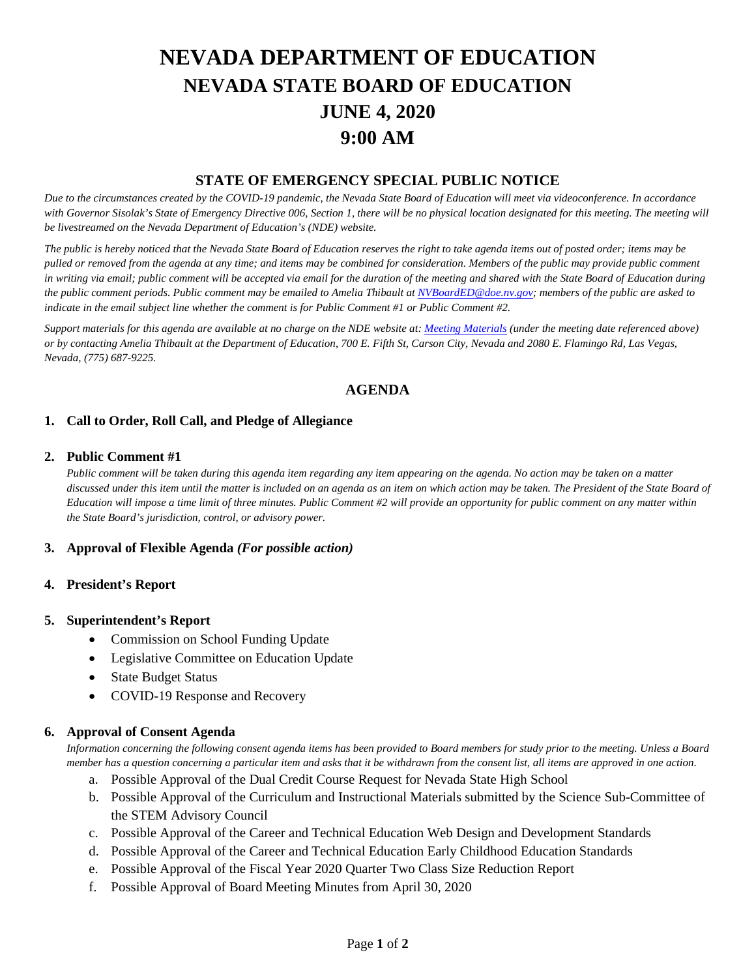# **NEVADA DEPARTMENT OF EDUCATION NEVADA STATE BOARD OF EDUCATION JUNE 4, 2020 9:00 AM**

### **STATE OF EMERGENCY SPECIAL PUBLIC NOTICE**

*Due to the circumstances created by the COVID-19 pandemic, the Nevada State Board of Education will meet via videoconference. In accordance*  with Governor Sisolak's State of Emergency Directive 006, Section 1, there will be no physical location designated for this meeting. The meeting will *be livestreamed on the Nevada Department of Education's (NDE) website.* 

*The public is hereby noticed that the Nevada State Board of Education reserves the right to take agenda items out of posted order; items may be pulled or removed from the agenda at any time; and items may be combined for consideration. Members of the public may provide public comment*  in writing via email; public comment will be accepted via email for the duration of the meeting and shared with the State Board of Education during *the public comment periods. Public comment may be emailed to Amelia Thibault a[t NVBoardED@doe.nv.gov;](mailto:NVBoardED@doe.nv.gov) members of the public are asked to indicate in the email subject line whether the comment is for Public Comment #1 or Public Comment #2.* 

*Support materials for this agenda are available at no charge on the NDE website at[: Meeting Materials](http://www.doe.nv.gov/Boards_Commissions_Councils/State_Board_of_Education/Meeting_Materials/) (under the meeting date referenced above) or by contacting Amelia Thibault at the Department of Education, 700 E. Fifth St, Carson City, Nevada and 2080 E. Flamingo Rd, Las Vegas, Nevada, (775) 687-9225.*

# **AGENDA**

#### **1. Call to Order, Roll Call, and Pledge of Allegiance**

#### **2. Public Comment #1**

*Public comment will be taken during this agenda item regarding any item appearing on the agenda. No action may be taken on a matter discussed under this item until the matter is included on an agenda as an item on which action may be taken. The President of the State Board of Education will impose a time limit of three minutes. Public Comment #2 will provide an opportunity for public comment on any matter within the State Board's jurisdiction, control, or advisory power.*

#### **3. Approval of Flexible Agenda** *(For possible action)*

#### **4. President's Report**

#### **5. Superintendent's Report**

- Commission on School Funding Update
- Legislative Committee on Education Update
- State Budget Status
- COVID-19 Response and Recovery

#### **6. Approval of Consent Agenda**

*Information concerning the following consent agenda items has been provided to Board members for study prior to the meeting. Unless a Board member has a question concerning a particular item and asks that it be withdrawn from the consent list, all items are approved in one action.* 

- a. Possible Approval of the Dual Credit Course Request for Nevada State High School
- b. Possible Approval of the Curriculum and Instructional Materials submitted by the Science Sub-Committee of the STEM Advisory Council
- c. Possible Approval of the Career and Technical Education Web Design and Development Standards
- d. Possible Approval of the Career and Technical Education Early Childhood Education Standards
- e. Possible Approval of the Fiscal Year 2020 Quarter Two Class Size Reduction Report
- f. Possible Approval of Board Meeting Minutes from April 30, 2020